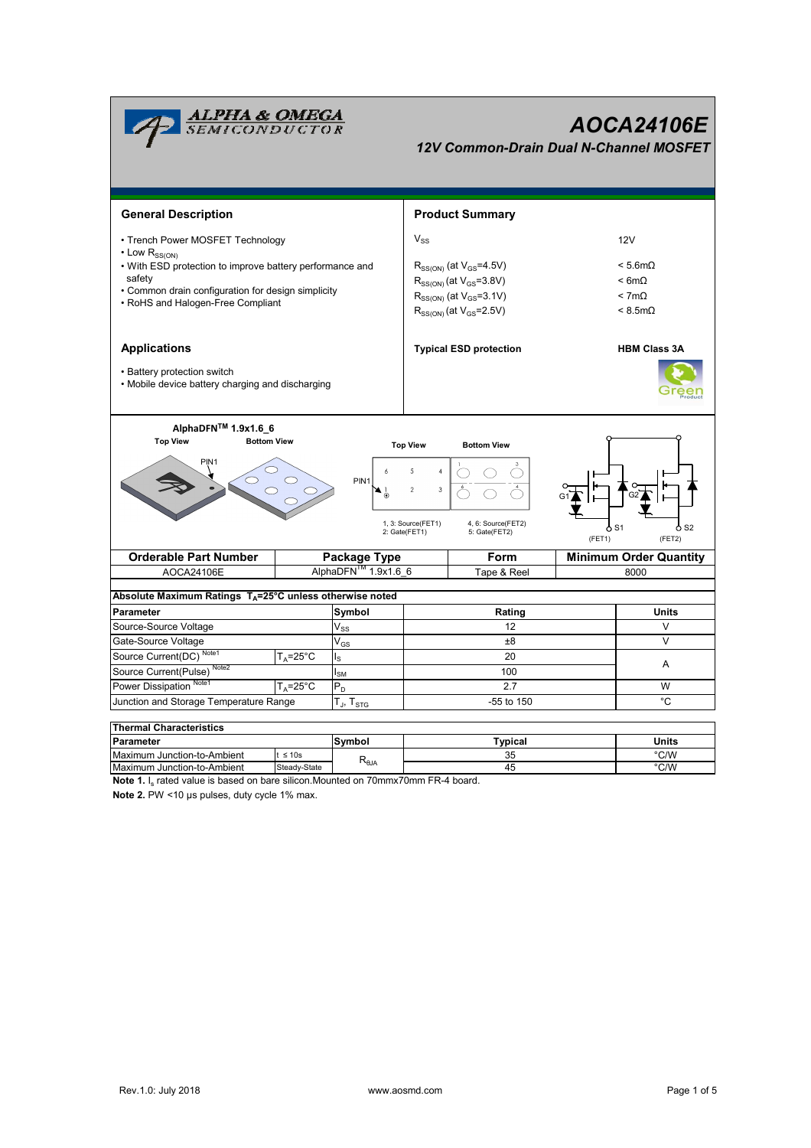

| i i lieliliai Ulialautelistius |              |                   |         |       |  |  |  |  |  |  |
|--------------------------------|--------------|-------------------|---------|-------|--|--|--|--|--|--|
| <b>Parameter</b>               |              | Svmbol            | Typical | Units |  |  |  |  |  |  |
| Maximum Junction-to-Ambient    | $\leq 10s$   |                   | 35      | °C/W  |  |  |  |  |  |  |
| Maximum Junction-to-Ambient    | Steady-State | ι≺ <sub>θJΑ</sub> | 45      | °C/W  |  |  |  |  |  |  |

**Note 1.** I<sub>s</sub> rated value is based on bare silicon.Mounted on 70mmx70mm FR-4 board.

**Note 2.** PW <10 µs pulses, duty cycle 1% max.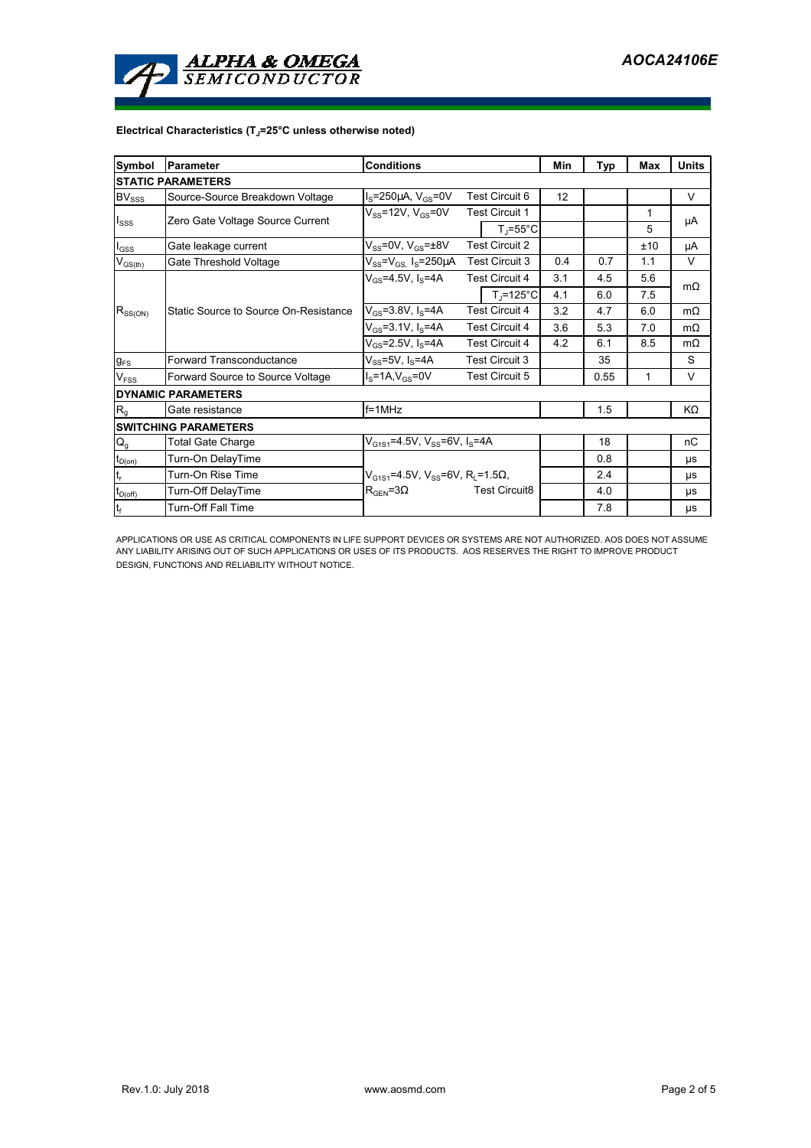

## **Electrical Characteristics (TJ=25°C unless otherwise noted)**

| <b>Symbol</b>            | <b>Conditions</b><br><b>Parameter</b> |                                                       |                       |                       | Min  | Typ | Max | <b>Units</b> |  |  |  |  |
|--------------------------|---------------------------------------|-------------------------------------------------------|-----------------------|-----------------------|------|-----|-----|--------------|--|--|--|--|
| <b>STATIC PARAMETERS</b> |                                       |                                                       |                       |                       |      |     |     |              |  |  |  |  |
| $BV_{SSS}$               | Source-Source Breakdown Voltage       | $I_s = 250 \mu A$ , $V_{cs} = 0V$                     |                       | Test Circuit 6        | 12   |     |     | $\vee$       |  |  |  |  |
| $I_{SSS}$                | Zero Gate Voltage Source Current      | $V_{SS}$ =12V, $V_{GS}$ =0V                           |                       | <b>Test Circuit 1</b> |      |     | 1   | μA           |  |  |  |  |
|                          |                                       |                                                       |                       | $T_i = 55^{\circ}C$   |      |     | 5   |              |  |  |  |  |
| $I_{GSS}$                | Gate leakage current                  | $V_{SS}$ =0V, $V_{GS}$ = $\pm$ 8V                     | <b>Test Circuit 2</b> |                       |      |     | ±10 | μA           |  |  |  |  |
| $V_{GS(th)}$             | Gate Threshold Voltage                | $V_{SS} = V_{GS}$ I <sub>S</sub> =250µA               | Test Circuit 3        |                       | 0.4  | 0.7 | 1.1 | V            |  |  |  |  |
| $R_{SS(ON)}$             |                                       | $V_{CS} = 4.5V, I_S = 4A$                             |                       | <b>Test Circuit 4</b> | 3.1  | 4.5 | 5.6 | $m\Omega$    |  |  |  |  |
|                          |                                       |                                                       |                       | $T_i = 125^{\circ}C$  | 4.1  | 6.0 | 7.5 |              |  |  |  |  |
|                          | Static Source to Source On-Resistance | $V_{GS}$ =3.8V, I <sub>S</sub> =4A                    | <b>Test Circuit 4</b> |                       | 3.2  | 4.7 | 6.0 | $m\Omega$    |  |  |  |  |
|                          |                                       | $V_{GS} = 3.1 V, I_S = 4A$                            | <b>Test Circuit 4</b> |                       | 3.6  | 5.3 | 7.0 | $m\Omega$    |  |  |  |  |
|                          |                                       | $V_{GS} = 2.5V, I_S = 4A$                             | <b>Test Circuit 4</b> |                       | 4.2  | 6.1 | 8.5 | $m\Omega$    |  |  |  |  |
| $g_{FS}$                 | <b>Forward Transconductance</b>       | $V_{SS}$ =5V, I <sub>S</sub> =4A                      | <b>Test Circuit 3</b> |                       |      | 35  |     | S            |  |  |  |  |
| V <sub>FSS</sub>         | Forward Source to Source Voltage      | $IS=1A, VGS=0V$<br><b>Test Circuit 5</b>              |                       |                       | 0.55 | 1   | V   |              |  |  |  |  |
|                          | <b>DYNAMIC PARAMETERS</b>             |                                                       |                       |                       |      |     |     |              |  |  |  |  |
| R <sub>g</sub>           | Gate resistance                       | $f = 1$ MHz                                           |                       |                       |      | 1.5 |     | KΩ           |  |  |  |  |
|                          | <b>SWITCHING PARAMETERS</b>           |                                                       |                       |                       |      |     |     |              |  |  |  |  |
| $Q_{g}$                  | <b>Total Gate Charge</b>              | $V_{G1S1}$ =4.5V, $V_{SS}$ =6V, I <sub>S</sub> =4A    |                       |                       |      | 18  |     | nC           |  |  |  |  |
| $t_{D(\underline{on})}$  | Turn-On DelayTime                     |                                                       |                       |                       |      | 0.8 |     | μs           |  |  |  |  |
| $t_r$                    | Turn-On Rise Time                     | $V_{G1S1}$ =4.5V, $V_{SS}$ =6V, R <sub>i</sub> =1.5Ω, |                       |                       |      | 2.4 |     | μs           |  |  |  |  |
| $t_{D(off)}$             | Turn-Off DelayTime                    | <b>Test Circuit8</b><br>$R_{\text{GEN}} = 3\Omega$    |                       |                       | 4.0  |     | μs  |              |  |  |  |  |
| $\mathbf{t}_\text{f}$    | <b>Turn-Off Fall Time</b>             |                                                       |                       |                       |      | 7.8 |     | μs           |  |  |  |  |

APPLICATIONS OR USE AS CRITICAL COMPONENTS IN LIFE SUPPORT DEVICES OR SYSTEMS ARE NOT AUTHORIZED. AOS DOES NOT ASSUME<br>ANY LIABILITY ARISING OUT OF SUCH APPLICATIONS OR USES OF ITS PRODUCTS. AOS RESERVES THE RIGHT TO IMPROV DESIGN, FUNCTIONS AND RELIABILITY WITHOUT NOTICE.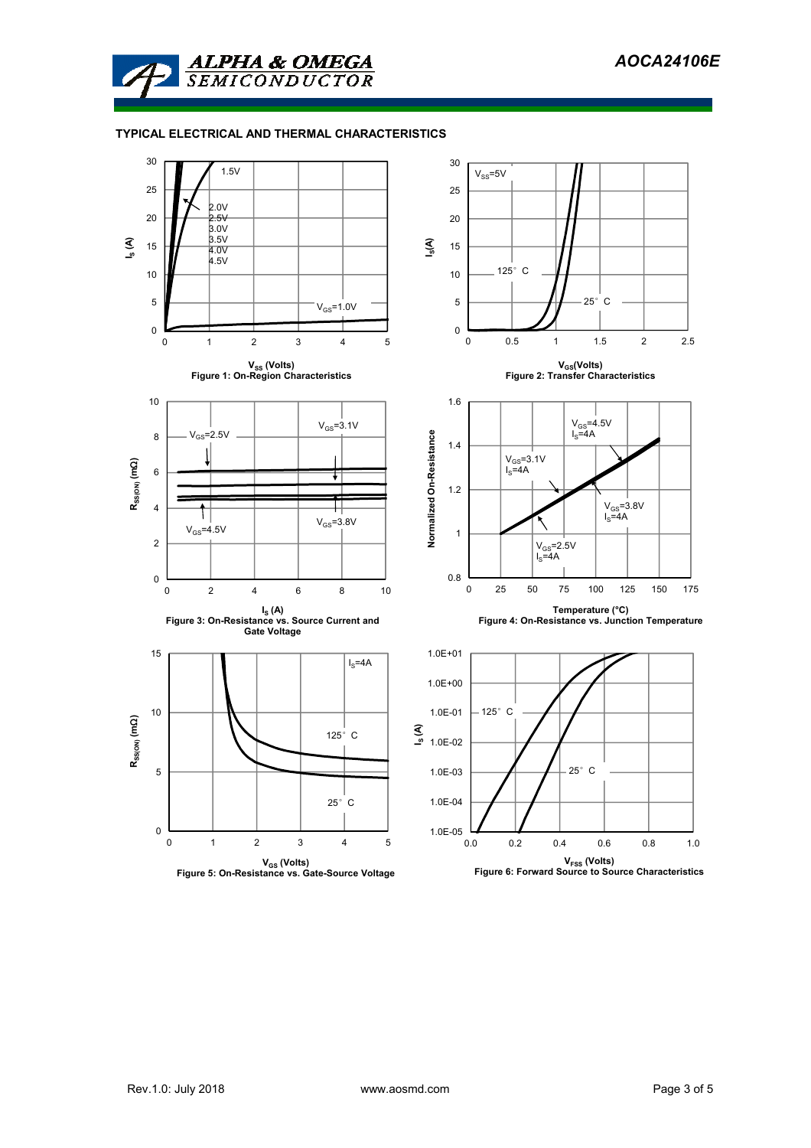

## **TYPICAL ELECTRICAL AND THERMAL CHARACTERISTICS**

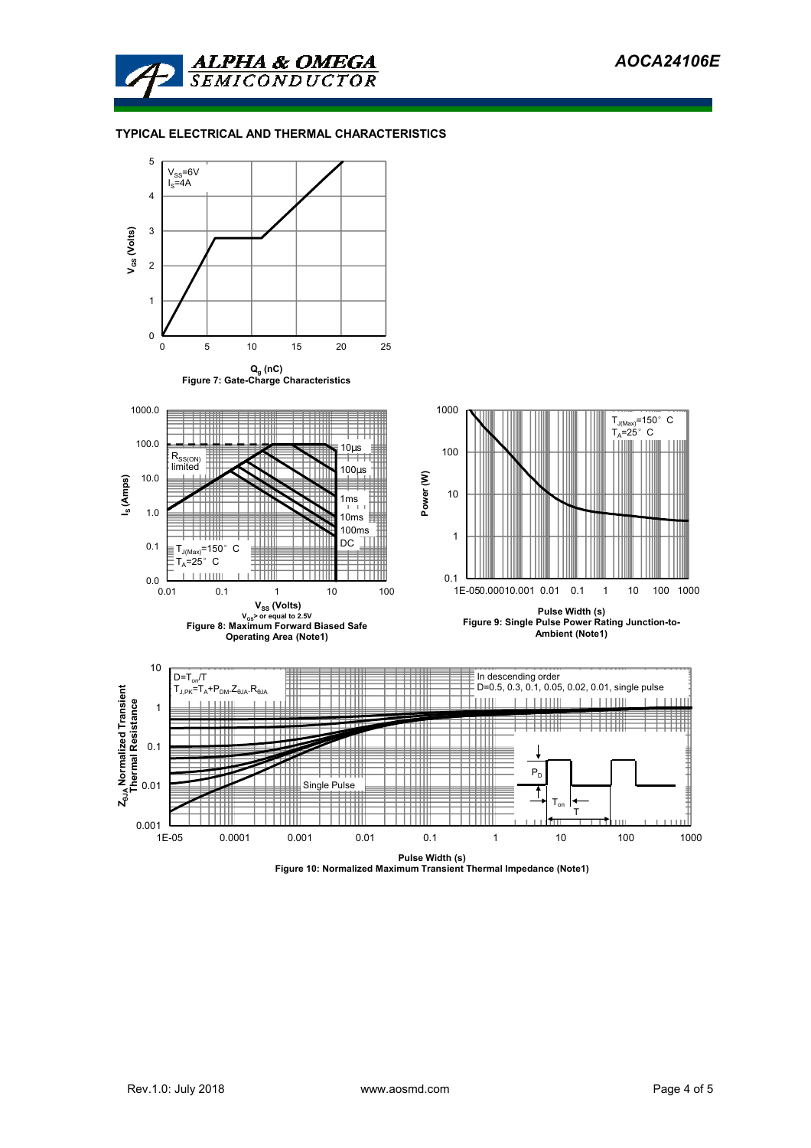

## **TYPICAL ELECTRICAL AND THERMAL CHARACTERISTICS**